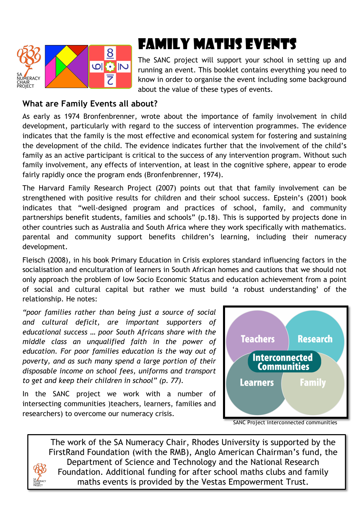

# Family Maths Events

The SANC project will support your school in setting up and running an event. This booklet contains everything you need to know in order to organise the event including some background about the value of these types of events.

## **What are Family Events all about?**

As early as 1974 Bronfenbrenner, wrote about the importance of family involvement in child development, particularly with regard to the success of intervention programmes. The evidence indicates that the family is the most effective and economical system for fostering and sustaining the development of the child. The evidence indicates further that the involvement of the child's family as an active participant is critical to the success of any intervention program. Without such family involvement, any effects of intervention, at least in the cognitive sphere, appear to erode fairly rapidly once the program ends (Bronfenbrenner, 1974).

The Harvard Family Research Project (2007) points out that that family involvement can be strengthened with positive results for children and their school success. Epstein's (2001) book indicates that "well-designed program and practices of school, family, and community partnerships benefit students, families and schools" (p.18). This is supported by projects done in other countries such as Australia and South Africa where they work specifically with mathematics. parental and community support benefits children's learning, including their numeracy development.

Fleisch (2008), in his book Primary Education in Crisis explores standard influencing factors in the socialisation and enculturation of learners in South African homes and cautions that we should not only approach the problem of low Socio Economic Status and education achievement from a point of social and cultural capital but rather we must build 'a robust understanding' of the relationship. He notes:

*"poor families rather than being just a source of social and cultural deficit, are important supporters of educational success … poor South Africans share with the middle class an unqualified faith in the power of education. For poor families education is the way out of poverty, and as such many spend a large portion of their disposable income on school fees, uniforms and transport to get and keep their children in school" (p. 77).* 

In the SANC project we work with a number of intersecting communities )teachers, learners, families and researchers) to overcome our numeracy crisis.



SANC Project interconnected communities

The work of the SA Numeracy Chair, Rhodes University is supported by the FirstRand Foundation (with the RMB), Anglo American Chairman's fund, the Department of Science and Technology and the National Research Foundation. Additional funding for after school maths clubs and family maths events is provided by the Vestas Empowerment Trust.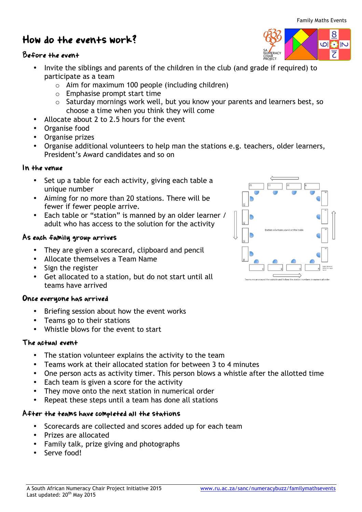# How do the events work?

### Before the event

- Invite the siblings and parents of the children in the club (and grade if required) to participate as a team
	- $\circ$  Aim for maximum 100 people (including children)
	- o Emphasise prompt start time
	- o Saturday mornings work well, but you know your parents and learners best, so choose a time when you think they will come
- Allocate about 2 to 2.5 hours for the event
- Organise food
- Organise prizes
- Organise additional volunteers to help man the stations e.g. teachers, older learners, President's Award candidates and so on

#### In the venue

- Set up a table for each activity, giving each table a unique number
- Aiming for no more than 20 stations. There will be fewer if fewer people arrive.
- Each table or "station" is manned by an older learner / adult who has access to the solution for the activity

#### As each family group arrives

- They are given a scorecard, clipboard and pencil
- Allocate themselves a Team Name
- Sign the register
- Get allocated to a station, but do not start until all teams have arrived

### Once everyone has arrived

- Briefing session about how the event works
- Teams go to their stations
- Whistle blows for the event to start

#### The actual event

- The station volunteer explains the activity to the team
- Teams work at their allocated station for between 3 to 4 minutes
- One person acts as activity timer. This person blows a whistle after the allotted time

A South African Numeracy Chair Project Initiative 2015 www.ru.ac.za/sanc/numeracybuzz/familymathsevents

- Each team is given a score for the activity
- They move onto the next station in numerical order
- Repeat these steps until a team has done all stations

## After the teams have completed all the stations

- Scorecards are collected and scores added up for each team
- Prizes are allocated
- Family talk, prize giving and photographs
- Serve food!

Last updated: 20<sup>th</sup> May 2015



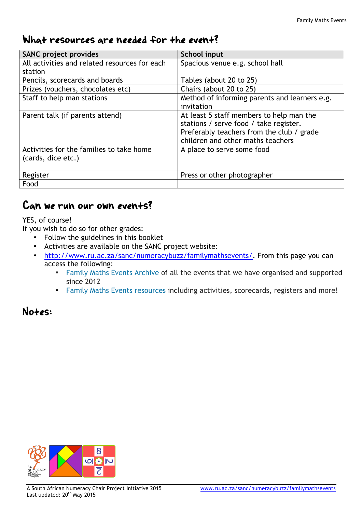# What resources are needed for the event?

| <b>SANC project provides</b>                  | School input                                  |
|-----------------------------------------------|-----------------------------------------------|
| All activities and related resources for each | Spacious venue e.g. school hall               |
| station                                       |                                               |
| Pencils, scorecards and boards                | Tables (about 20 to 25)                       |
| Prizes (vouchers, chocolates etc)             | Chairs (about 20 to 25)                       |
| Staff to help man stations                    | Method of informing parents and learners e.g. |
|                                               | invitation                                    |
| Parent talk (if parents attend)               | At least 5 staff members to help man the      |
|                                               | stations / serve food / take register.        |
|                                               | Preferably teachers from the club / grade     |
|                                               | children and other maths teachers             |
| Activities for the families to take home      | A place to serve some food                    |
| (cards, dice etc.)                            |                                               |
|                                               |                                               |
| Register                                      | Press or other photographer                   |
| Food                                          |                                               |

## Can we run our own events?

YES, of course!

If you wish to do so for other grades:

- Follow the guidelines in this booklet
- Activities are available on the SANC project website:
- http://www.ru.ac.za/sanc/numeracybuzz/familymathsevents/. From this page you can access the following:
	- Family Maths Events Archive of all the events that we have organised and supported since 2012
	- Family Maths Events resources including activities, scorecards, registers and more!

 $Note:$